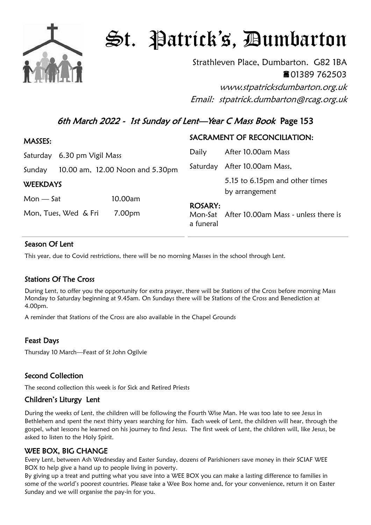

# St. Patrick's, Dumbarton

Strathleven Place, Dumbarton. G82 1BA 01389 762503

www.stpatricksdumbarton.org.uk Email: stpatrick.dumbarton@rcag.org.uk

## 6th March 2022 - 1st Sunday of Lent—Year C Mass Book Page 153

| <b>MASSES:</b>              |                                 | SACRAMENT OF RECONCILIATION: |                                                  |
|-----------------------------|---------------------------------|------------------------------|--------------------------------------------------|
| Saturday 6.30 pm Vigil Mass |                                 | Daily                        | After 10.00am Mass                               |
| Sunday                      | 10.00 am, 12.00 Noon and 5.30pm |                              | Saturday After 10.00am Mass,                     |
| <b>WEEKDAYS</b>             |                                 |                              | 5.15 to 6.15pm and other times<br>by arrangement |
| $Mon - Sat$                 | 10.00am                         |                              |                                                  |
| Mon, Tues, Wed & Fri        | 7.00pm                          | <b>ROSARY:</b><br>a funeral  | Mon-Sat After 10.00am Mass - unless there is     |

### Season Of Lent

This year, due to Covid restrictions, there will be no morning Masses in the school through Lent.

### Stations Of The Cross

During Lent, to offer you the opportunity for extra prayer, there will be Stations of the Cross before morning Mass Monday to Saturday beginning at 9.45am. On Sundays there will be Stations of the Cross and Benediction at 4.00pm.

A reminder that Stations of the Cross are also available in the Chapel Grounds

### Feast Days

Thursday 10 March—Feast of St John Ogilvie

### Second Collection

The second collection this week is for Sick and Retired Priests

### Children's Liturgy Lent

During the weeks of Lent, the children will be following the Fourth Wise Man. He was too late to see Jesus in Bethlehem and spent the next thirty years searching for him. Each week of Lent, the children will hear, through the gospel, what lessons he learned on his journey to find Jesus. The first week of Lent, the children will, like Jesus, be asked to listen to the Holy Spirit.

### WEE BOX, BIG CHANGE

Every Lent, between Ash Wednesday and Easter Sunday, dozens of Parishioners save money in their SCIAF WEE BOX to help give a hand up to people living in poverty.

By giving up a treat and putting what you save into a WEE BOX you can make a lasting difference to families in some of the world's poorest countries. Please take a Wee Box home and, for your convenience, return it on Easter Sunday and we will organise the pay-in for you.